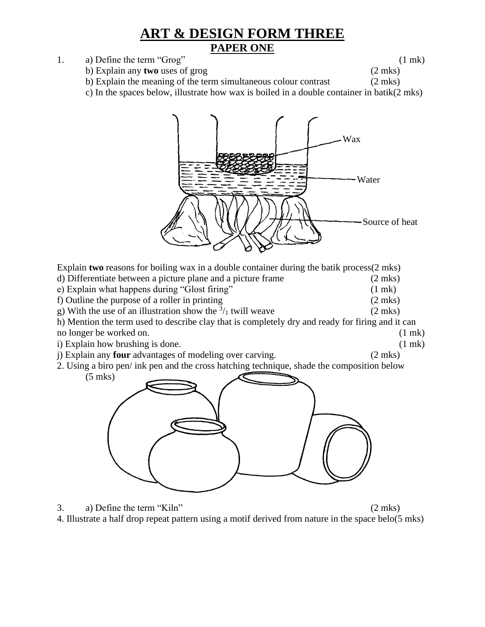## **ART & DESIGN FORM THREE PAPER ONE**

1. a) Define the term "Grog" (1 mk)

- b) Explain any **two** uses of grog (2 mks)
	-
- b) Explain the meaning of the term simultaneous colour contrast (2 mks)
- c) In the spaces below, illustrate how wax is boiled in a double container in batik(2 mks)



Explain **two** reasons for boiling wax in a double container during the batik process(2 mks) d) Differentiate between a picture plane and a picture frame (2 mks) e) Explain what happens during "Glost firing" (1 mk) f) Outline the purpose of a roller in printing (2 mks) g) With the use of an illustration show the  $\frac{3}{1}$  twill weave (2 mks) h) Mention the term used to describe clay that is completely dry and ready for firing and it can no longer be worked on. (1 mk) (1 mk) i) Explain how brushing is done. (1 mk) j) Explain any **four** advantages of modeling over carving. (2 mks) 2. Using a biro pen/ ink pen and the cross hatching technique, shade the composition below (5 mks)

- 3. a) Define the term "Kiln" (2 mks)
	-
- 4. Illustrate a half drop repeat pattern using a motif derived from nature in the space belo(5 mks)